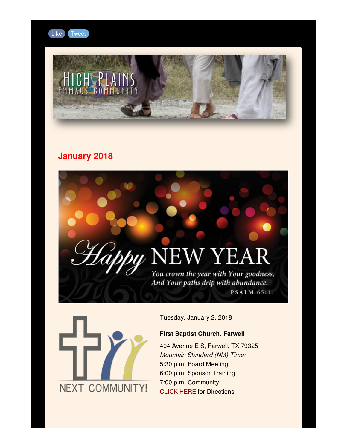

# **January 2018**

# by NEW YEAR

You crown the year with Your goodness, And Your paths drip with abundance.

**PSALM 65:11** 



Tuesday, January 2, 2018

#### **First Baptist Church. Farwell**

404 Avenue E S, Farwell, TX 79325 *Mountain Standard (NM) Time:* 5:30 p.m. Board Meeting 6:00 p.m. Sponsor Training 7:00 p.m. Community! [CLICK](https://goo.gl/maps/AHrkaMgaidT2) HERE for Directions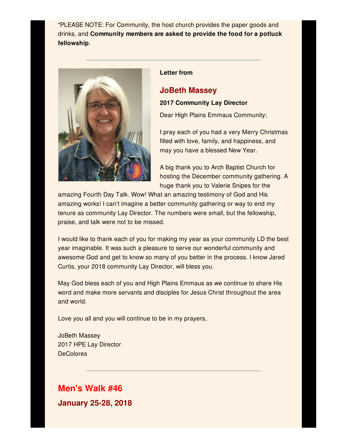\*PLEASE NOTE: For Community, the host church provides the paper goods and drinks, and **Community members are asked to provide the food for a potluck fellowship**.



#### **Letter from**

# **JoBeth Massey**

#### **2017 Community Lay Director**

Dear High Plains Emmaus Community;

I pray each of you had a very Merry Christmas filled with love, family, and happiness, and may you have a blessed New Year.

A big thank you to Arch Baptist Church for hosting the December community gathering. A huge thank you to Valerie Snipes for the

amazing Fourth Day Talk. Wow! What an amazing testimony of God and His amazing works! I can't imagine a better community gathering or way to end my tenure as community Lay Director. The numbers were small, but the fellowship, praise, and talk were not to be missed.

I would like to thank each of you for making my year as your community LD the best year imaginable. It was such a pleasure to serve our wonderful community and awesome God and get to know so many of you better in the process. I know Jared Curtis, your 2018 community Lay Director, will bless you.

May God bless each of you and High Plains Emmaus as we continue to share His word and make more servants and disciples for Jesus Christ throughout the area and world.

Love you all and you will continue to be in my prayers,

JoBeth Massey 2017 HPE Lay Director **DeColores** 

# **Men's Walk #46**

**January 25-28, 2018**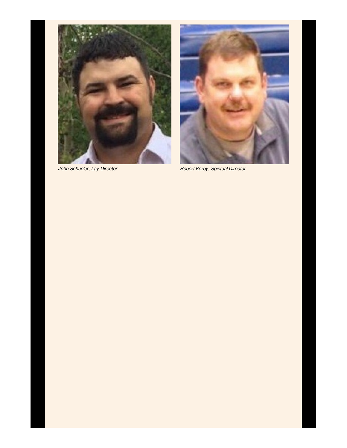



*John Schueler, Lay Director Robert Kerby, Spiritual Director*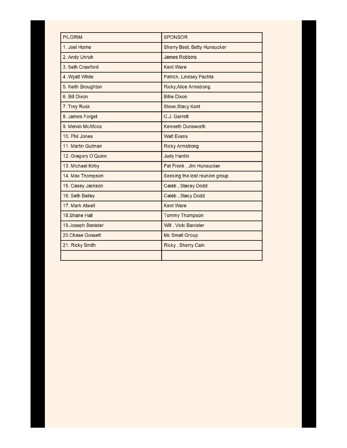| <b>PILGRIM</b>      | <b>SPONSOR</b>                 |
|---------------------|--------------------------------|
| 1. Joel Horne       | Sherry Best, Betty Hunsucker   |
| 2. Andy Unruh       | <b>James Robbins</b>           |
| 3. Seth Crawford    | <b>Kent Ware</b>               |
| 4. Wyatt White      | Patrick, Lindsey Pachta        |
| 5. Keith Broughton  | <b>Ricky, Alice Armstrong</b>  |
| 6. Bill Dixon       | <b>Billie Dixon</b>            |
| 7. Trey Rusk        | Steve, Stacy Kent              |
| 8. James Forget     | C.J. Garrett                   |
| 9. Melvin McAfoos   | <b>Kenneth Dunsworth</b>       |
| 10. Phil Jones      | <b>Walt Evans</b>              |
| 11. Martin Gutman   | <b>Ricky Armstrong</b>         |
| 12. Gregory O'Quinn | <b>Judy Hardin</b>             |
| 13. Michael Kirby   | Pat Fronk, Jim Hunsucker       |
| 14. Max Thompson    | Seeking the lost reunion group |
| 15. Casey Jackson   | Caleb, Stacey Dodd             |
| 16. Seth Bailey     | Caleb, Stacy Dodd              |
| 17. Mark Atwell     | <b>Kent Ware</b>               |
| 18. Shane Hall      | <b>Tommy Thompson</b>          |
| 19. Joseph Banister | Will, Vicki Banister           |
| 20.Chase Gossett    | Mc Small Group                 |
| 21. Ricky Smith     | Ricky, Sherry Cain             |
|                     |                                |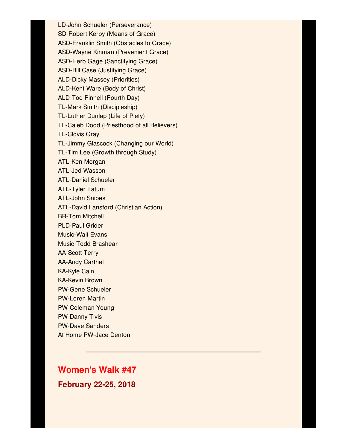LD-John Schueler (Perseverance) SD-Robert Kerby (Means of Grace) ASD-Franklin Smith (Obstacles to Grace) ASD-Wayne Kinman (Prevenient Grace) ASD-Herb Gage (Sanctifying Grace) ASD-Bill Case (Justifying Grace) ALD-Dicky Massey (Priorities) ALD-Kent Ware (Body of Christ) ALD-Tod Pinnell (Fourth Day) TL-Mark Smith (Discipleship) TL-Luther Dunlap (Life of Piety) TL-Caleb Dodd (Priesthood of all Believers) TL-Clovis Gray TL-Jimmy Glascock (Changing our World) TL-Tim Lee (Growth through Study) ATL-Ken Morgan ATL-Jed Wasson ATL-Daniel Schueler ATL-Tyler Tatum ATL-John Snipes ATL-David Lansford (Christian Action) BR-Tom Mitchell PLD-Paul Grider Music-Walt Evans Music-Todd Brashear AA-Scott Terry AA-Andy Carthel KA-Kyle Cain KA-Kevin Brown PW-Gene Schueler PW-Loren Martin PW-Coleman Young PW-Danny Tivis PW-Dave Sanders At Home PW-Jace Denton

#### **Women's Walk #47**

**February 22-25, 2018**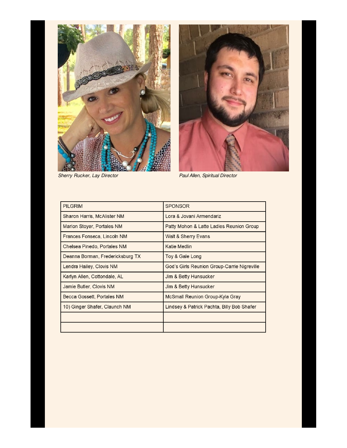



*Sherry Rucker, Lay Director Paul Allen, Spiritual Director*

| <b>PILGRIM</b>                   | <b>SPONSOR</b>                              |
|----------------------------------|---------------------------------------------|
| Sharon Harris, McAlister NM      | Lora & Jovani Armendariz                    |
| Marion Stoyer, Portales NM       | Patty Mohon & Latte Ladies Reunion Group    |
| Frances Fonseca, Lincoln NM      | Walt & Sherry Evans                         |
| Chelsea Pinedo, Portales NM      | Katie Medlin                                |
| Deanna Borman, Fredericksburg TX | Toy & Gale Long                             |
| Lendra Hailey, Clovis NM         | God's Girls Reunion Group-Carrie Nigreville |
| Karlyn Allen, Cottondale, AL     | Jim & Betty Hunsucker                       |
| Jamie Butler, Clovis NM          | Jim & Betty Hunsucker                       |
| Becca Gossett, Portales NM       | McSmall Reunion Group-Kyla Gray             |
| 10) Ginger Shafer, Claunch NM    | Lindsey & Patrick Pachta, Billy Bob Shafer  |
|                                  |                                             |
|                                  |                                             |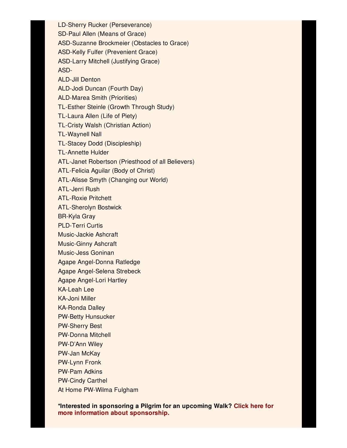LD-Sherry Rucker (Perseverance) SD-Paul Allen (Means of Grace) ASD-Suzanne Brockmeier (Obstacles to Grace) ASD-Kelly Fulfer (Prevenient Grace) ASD-Larry Mitchell (Justifying Grace) ASD-ALD-Jill Denton ALD-Jodi Duncan (Fourth Day) ALD-Marea Smith (Priorities) TL-Esther Steinle (Growth Through Study) TL-Laura Allen (Life of Piety) TL-Cristy Walsh (Christian Action) TL-Waynell Nall TL-Stacey Dodd (Discipleship) TL-Annette Hulder ATL-Janet Robertson (Priesthood of all Believers) ATL-Felicia Aguilar (Body of Christ) ATL-Alisse Smyth (Changing our World) ATL-Jerri Rush ATL-Roxie Pritchett ATL-Sherolyn Bostwick BR-Kyla Gray PLD-Terri Curtis Music-Jackie Ashcraft Music-Ginny Ashcraft Music-Jess Goninan Agape Angel-Donna Ratledge Agape Angel-Selena Strebeck Agape Angel-Lori Hartley KA-Leah Lee KA-Joni Miller KA-Ronda Dalley PW-Betty Hunsucker PW-Sherry Best PW-Donna Mitchell PW-D'Ann Wiley PW-Jan McKay PW-Lynn Fronk PW-Pam Adkins PW-Cindy Carthel At Home PW-Wilma Fulgham

**\*Interested in sponsoring a Pilgrim for an upcoming Walk? Click here for more information about [sponsorship.](http://media.wix.com/ugd/226f87_c0a36032d179420685c0e14c36ebff74.docx?dn=Sponsor Information Jan 2015.docx)**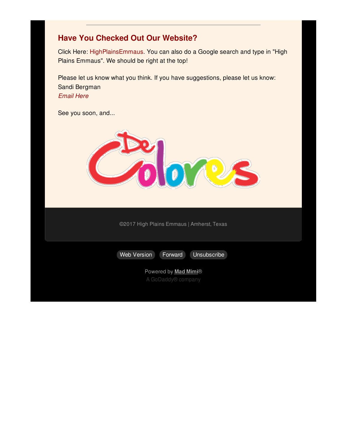### **Have You Checked Out Our Website?**

Click Here: [HighPlainsEmmaus](http://www.highplainsemmaus.com). You can also do a Google search and type in "High Plains Emmaus". We should be right at the top!

Please let us know what you think. If you have suggestions, please let us know: Sandi Bergman *[Email](mailto:bergymr@gmail.com) Here*

See you soon, and...



©2017 High Plains Emmaus | Amherst, Texas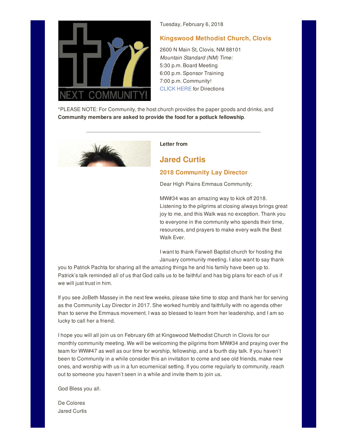

Tuesday, February 6, 2018

#### **Kingswood Methodist Church, Clovis**

2600 N Main St, Clovis, NM 88101 *Mountain Standard (NM) Time:* 5:30 p.m. Board Meeting 6:00 p.m. Sponsor Training 7:00 p.m. Community! CLICK HERE for Directions

\*PLEASE NOTE: For Community, the host church provides the paper goods and drinks, and **Community members are asked to provide the food for a potluck fellowship**.

**Letter from**

### **Jared Curtis**

#### **2018 Community Lay Director**

Dear High Plains Emmaus Community;

MW#34 was an amazing way to kick off 2018. Listening to the pilgrims at closing always brings great joy to me, and this Walk was no exception. Thank you to everyone in the community who spends their time, resources, and prayers to make every walk the Best Walk Ever.

I want to thank Farwell Baptist church for hosting the January community meeting. I also want to say thank

you to Patrick Pachta for sharing all the amazing things he and his family have been up to. Patrick's talk reminded all of us that God calls us to be faithful and has big plans for each of us if we will just trust in him.

If you see JoBeth Massey in the next few weeks, please take time to stop and thank her for serving as the Community Lay Director in 2017. She worked humbly and faithfully with no agenda other than to serve the Emmaus movement. I was so blessed to learn from her leadership, and I am so lucky to call her a friend.

I hope you will all join us on February 6th at Kingswood Methodist Church in Clovis for our monthly community meeting. We will be welcoming the pilgrims from MW#34 and praying over the team for WW#47 as well as our time for worship, fellowship, and a fourth day talk. If you haven't been to Community in a while consider this an invitation to come and see old friends, make new ones, and worship with us in a fun ecumenical setting. If you come regularly to community, reach out to someone you haven't seen in a while and invite them to join us.

God Bless you all.

De Colores Jared Curtis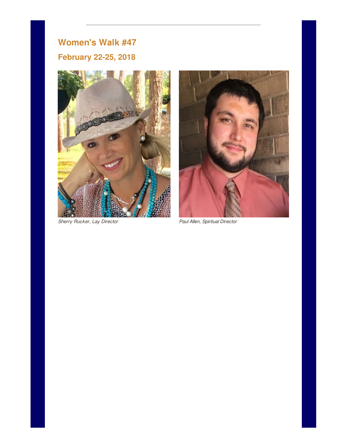## **Women's Walk #47**

## **February 22-25, 2018**



*Sherry Rucker, Lay Director Paul Allen, Spiritual Director*

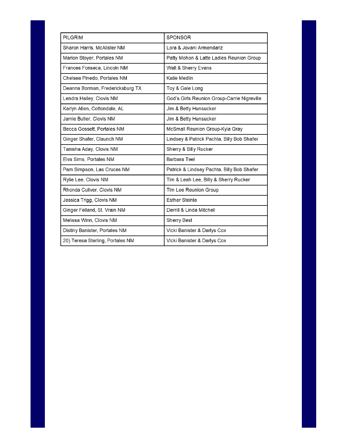| PILGRIM                          | <b>SPONSOR</b>                              |
|----------------------------------|---------------------------------------------|
| Sharon Harris, McAlister NM      | Lora & Jovani Armendariz                    |
| Marion Stoyer, Portales NM       | Patty Mohon & Latte Ladies Reunion Group    |
| Frances Fonseca, Lincoln NM      | Walt & Sherry Evans                         |
| Chelsea Pinedo, Portales NM      | Katie Medlin                                |
| Deanna Borman, Fredericksburg TX | Toy & Gale Long                             |
| Lendra Hailey, Clovis NM         | God's Girls Reunion Group-Carrie Nigreville |
| Karlyn Allen, Cottondale, AL     | Jim & Betty Hunsucker                       |
| Jamie Butler, Clovis NM          | Jim & Betty Hunsucker                       |
| Becca Gossett, Portales NM       | McSmall Reunion Group-Kyla Gray             |
| Ginger Shafer, Claunch NM        | Lindsey & Patrick Pachta, Billy Bob Shafer  |
| Tanisha Aday, Clovis NM          | Sherry & Billy Rucker                       |
| Elva Sims, Portales NM           | <b>Barbara Teel</b>                         |
| Pam Simpson, Las Cruces NM       | Patrick & Lindsey Pachta, Billy Bob Shafer  |
| Rylie Lee, Clovis NM             | Tim & Leah Lee, Billy & Sherry Rucker       |
| Rhonda Culiver, Clovis NM        | Tim Lee Reunion Group                       |
| Jessica Trigg, Clovis NM         | <b>Esther Steinle</b>                       |
| Ginger Felland, St. Vrain NM     | Derrill & Linda Mitchell                    |
| Melissa Winn, Clovis NM          | <b>Sherry Best</b>                          |
| Distiny Banister, Portales NM    | Vicki Banister & Darlys Cox                 |
| 20) Teresa Sterling, Portales NM | Vicki Banister & Darlys Cox                 |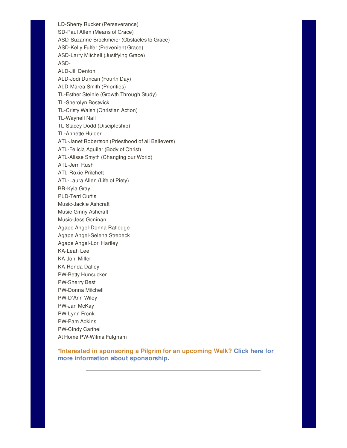LD-Sherry Rucker (Perseverance) SD-Paul Allen (Means of Grace) ASD-Suzanne Brockmeier (Obstacles to Grace) ASD-Kelly Fulfer (Prevenient Grace) ASD-Larry Mitchell (Justifying Grace) ASD-ALD-Jill Denton ALD-Jodi Duncan (Fourth Day) ALD-Marea Smith (Priorities) TL-Esther Steinle (Growth Through Study) TL-Sherolyn Bostwick TL-Cristy Walsh (Christian Action) TL-Waynell Nall TL-Stacey Dodd (Discipleship) TL-Annette Hulder ATL-Janet Robertson (Priesthood of all Believers) ATL-Felicia Aguilar (Body of Christ) ATL-Alisse Smyth (Changing our World) ATL-Jerri Rush ATL-Roxie Pritchett ATL-Laura Allen (Life of Piety) BR-Kyla Gray PLD-Terri Curtis Music-Jackie Ashcraft Music-Ginny Ashcraft Music-Jess Goninan Agape Angel-Donna Ratledge Agape Angel-Selena Strebeck Agape Angel-Lori Hartley KA-Leah Lee KA-Joni Miller KA-Ronda Dalley PW-Betty Hunsucker PW-Sherry Best PW-Donna Mitchell PW-D'Ann Wiley PW-Jan McKay PW-Lynn Fronk PW-Pam Adkins PW-Cindy Carthel At Home PW-Wilma Fulgham

**\*Interested in sponsoring a Pilgrim for an upcoming Walk? Click here for more information about [sponsorship.](http://media.wix.com/ugd/226f87_c0a36032d179420685c0e14c36ebff74.docx?dn=Sponsor Information Jan 2015.docx)**